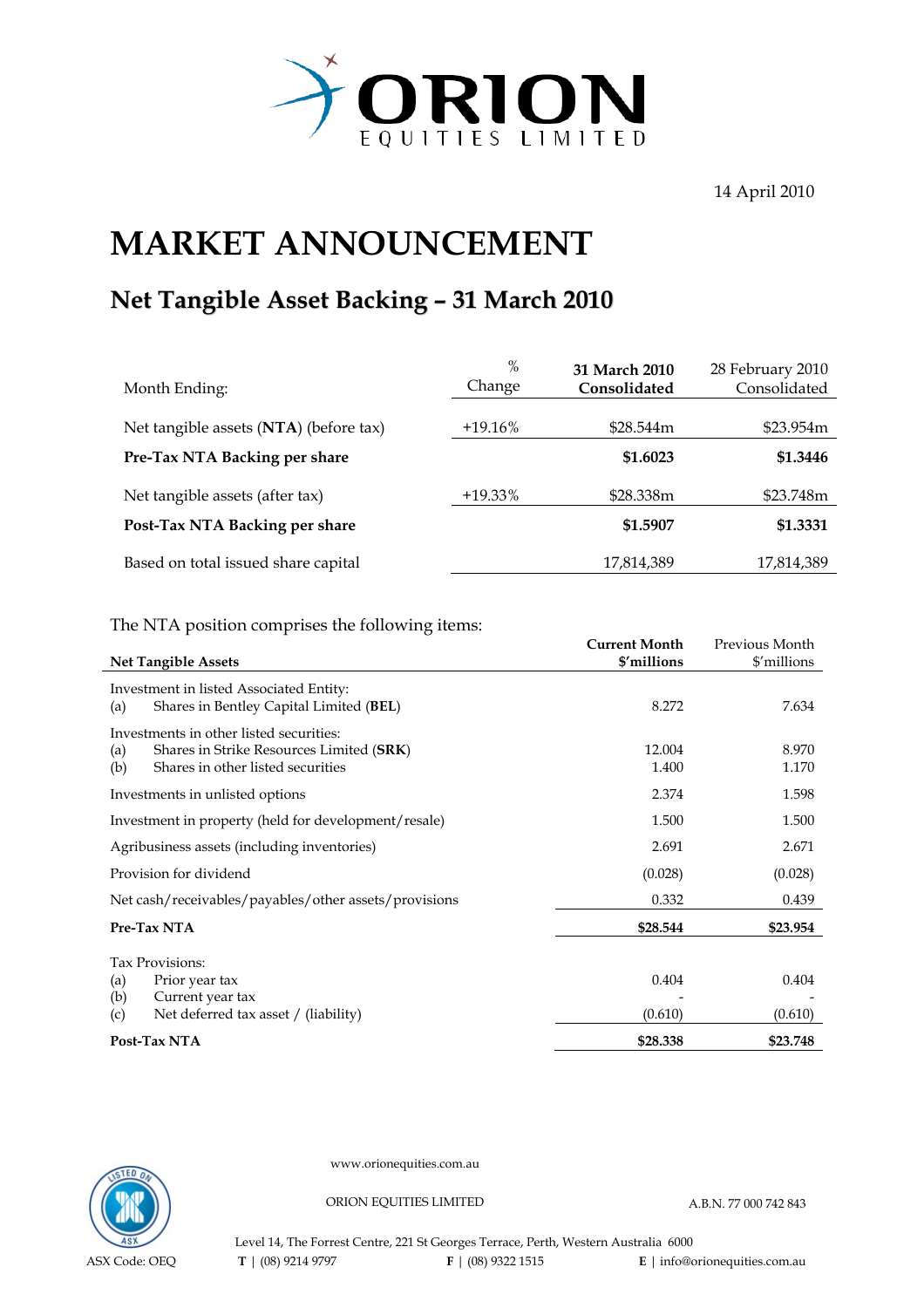

14 April 2010

## **MARKET ANNOUNCEMENT**

## **Net Tangible Asset Backing – 31 March 2010**

| Month Ending:                          | $\%$<br>Change | 31 March 2010<br>Consolidated | 28 February 2010<br>Consolidated |
|----------------------------------------|----------------|-------------------------------|----------------------------------|
| Net tangible assets (NTA) (before tax) | $+19.16\%$     | \$28.544m                     | \$23.954m                        |
| Pre-Tax NTA Backing per share          |                | \$1.6023                      | \$1,3446                         |
| Net tangible assets (after tax)        | +19.33%        | \$28.338m                     | \$23.748m                        |
| Post-Tax NTA Backing per share         |                | \$1.5907                      | \$1.3331                         |
| Based on total issued share capital    |                | 17,814,389                    | 17,814,389                       |

The NTA position comprises the following items:

|                   |                                                                                                                          | <b>Current Month</b> | Previous Month   |
|-------------------|--------------------------------------------------------------------------------------------------------------------------|----------------------|------------------|
|                   | <b>Net Tangible Assets</b>                                                                                               | \$'millions          | \$'millions      |
| (a)               | Investment in listed Associated Entity:<br>Shares in Bentley Capital Limited (BEL)                                       | 8.272                | 7.634            |
| (a)<br>(b)        | Investments in other listed securities:<br>Shares in Strike Resources Limited (SRK)<br>Shares in other listed securities | 12.004<br>1.400      | 8.970<br>1.170   |
|                   | Investments in unlisted options                                                                                          | 2.374                | 1.598            |
|                   | Investment in property (held for development/resale)                                                                     | 1.500                | 1.500            |
|                   | Agribusiness assets (including inventories)                                                                              | 2.691                | 2.671            |
|                   | Provision for dividend                                                                                                   | (0.028)              | (0.028)          |
|                   | Net cash/receivables/payables/other assets/provisions                                                                    | 0.332                | 0.439            |
|                   | Pre-Tax NTA                                                                                                              | \$28.544             | \$23.954         |
| (a)<br>(b)<br>(c) | Tax Provisions:<br>Prior year tax<br>Current year tax<br>Net deferred tax asset / (liability)                            | 0.404<br>(0.610)     | 0.404<br>(0.610) |
|                   | Post-Tax NTA                                                                                                             | \$28.338             | \$23.748         |



www.orionequities.com.au

ORION EQUITIES LIMITED A.B.N. 77 000 742 843

Level 14, The Forrest Centre, 221 St Georges Terrace, Perth, Western Australia 6000  **T** | (08) 9214 9797 **F** | (08) 9322 1515 **E** | info@orionequities.com.au